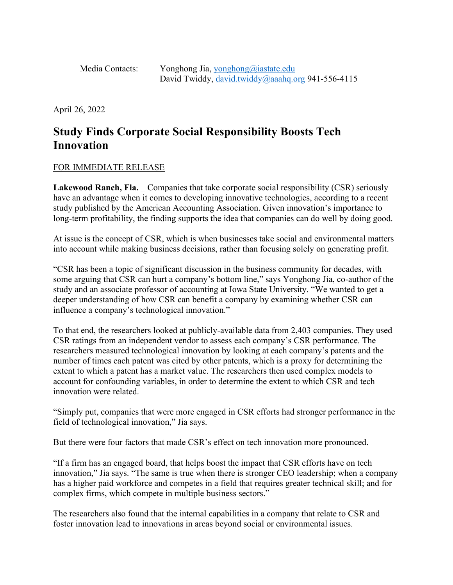Media Contacts: Yonghong Jia, [yonghong@iastate.edu](mailto:yonghong@iastate.edu) David Twiddy, [david.twiddy@aaahq.org](mailto:david.twiddy@aaahq.org) 941-556-4115

April 26, 2022

## **Study Finds Corporate Social Responsibility Boosts Tech Innovation**

## FOR IMMEDIATE RELEASE

**Lakewood Ranch, Fla.** Companies that take corporate social responsibility (CSR) seriously have an advantage when it comes to developing innovative technologies, according to a recent study published by the American Accounting Association. Given innovation's importance to long-term profitability, the finding supports the idea that companies can do well by doing good.

At issue is the concept of CSR, which is when businesses take social and environmental matters into account while making business decisions, rather than focusing solely on generating profit.

"CSR has been a topic of significant discussion in the business community for decades, with some arguing that CSR can hurt a company's bottom line," says Yonghong Jia, co-author of the study and an associate professor of accounting at Iowa State University. "We wanted to get a deeper understanding of how CSR can benefit a company by examining whether CSR can influence a company's technological innovation."

To that end, the researchers looked at publicly-available data from 2,403 companies. They used CSR ratings from an independent vendor to assess each company's CSR performance. The researchers measured technological innovation by looking at each company's patents and the number of times each patent was cited by other patents, which is a proxy for determining the extent to which a patent has a market value. The researchers then used complex models to account for confounding variables, in order to determine the extent to which CSR and tech innovation were related.

"Simply put, companies that were more engaged in CSR efforts had stronger performance in the field of technological innovation," Jia says.

But there were four factors that made CSR's effect on tech innovation more pronounced.

"If a firm has an engaged board, that helps boost the impact that CSR efforts have on tech innovation," Jia says. "The same is true when there is stronger CEO leadership; when a company has a higher paid workforce and competes in a field that requires greater technical skill; and for complex firms, which compete in multiple business sectors."

The researchers also found that the internal capabilities in a company that relate to CSR and foster innovation lead to innovations in areas beyond social or environmental issues.